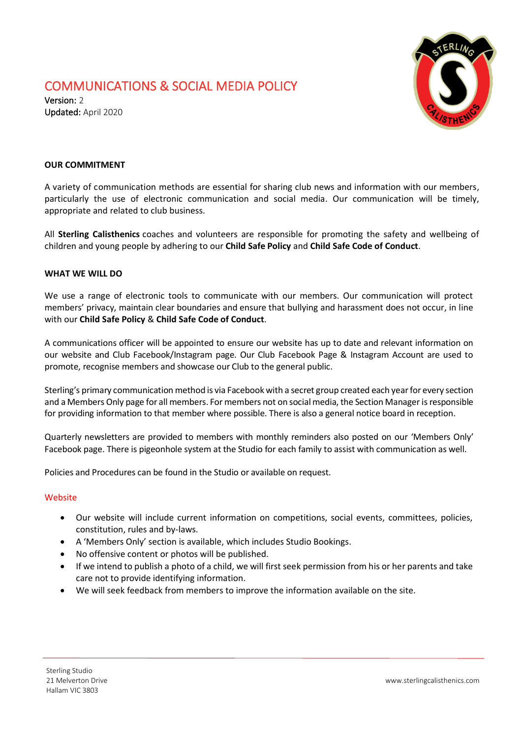## COMMUNICATIONS & SOCIAL MEDIA POLICY

Version: 2 Updated: April 2020



### **OUR COMMITMENT**

A variety of communication methods are essential for sharing club news and information with our members, particularly the use of electronic communication and social media. Our communication will be timely, appropriate and related to club business.

All **Sterling Calisthenics** coaches and volunteers are responsible for promoting the safety and wellbeing of children and young people by adhering to our **Child Safe Policy** and **Child Safe Code of Conduct**.

#### **WHAT WE WILL DO**

We use a range of electronic tools to communicate with our members. Our communication will protect members' privacy, maintain clear boundaries and ensure that bullying and harassment does not occur, in line with our **Child Safe Policy** & **Child Safe Code of Conduct**.

A communications officer will be appointed to ensure our website has up to date and relevant information on our website and Club Facebook/Instagram page. Our Club Facebook Page & Instagram Account are used to promote, recognise members and showcase our Club to the general public.

Sterling's primary communication method is via Facebook with a secret group created each year for every section and a Members Only page for all members. For members not on social media, the Section Manager is responsible for providing information to that member where possible. There is also a general notice board in reception.

Quarterly newsletters are provided to members with monthly reminders also posted on our 'Members Only' Facebook page. There is pigeonhole system at the Studio for each family to assist with communication as well.

Policies and Procedures can be found in the Studio or available on request.

#### Website

- Our website will include current information on competitions, social events, committees, policies, constitution, rules and by-laws.
- A 'Members Only' section is available, which includes Studio Bookings.
- No offensive content or photos will be published.
- If we intend to publish a photo of a child, we will first seek permission from his or her parents and take care not to provide identifying information.
- We will seek feedback from members to improve the information available on the site.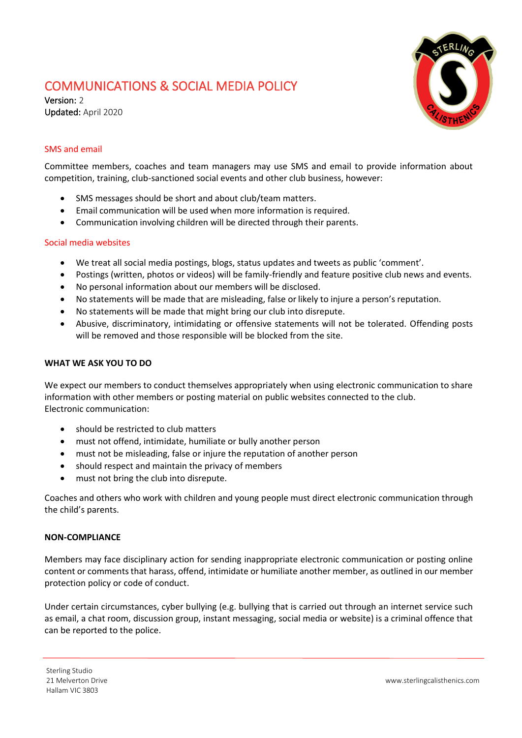## COMMUNICATIONS & SOCIAL MEDIA POLICY

Version: 2 Updated: April 2020



## SMS and email

Committee members, coaches and team managers may use SMS and email to provide information about competition, training, club-sanctioned social events and other club business, however:

- SMS messages should be short and about club/team matters.
- Email communication will be used when more information is required.
- Communication involving children will be directed through their parents.

#### Social media websites

- We treat all social media postings, blogs, status updates and tweets as public 'comment'.
- Postings (written, photos or videos) will be family-friendly and feature positive club news and events.
- No personal information about our members will be disclosed.
- No statements will be made that are misleading, false or likely to injure a person's reputation.
- No statements will be made that might bring our club into disrepute.
- Abusive, discriminatory, intimidating or offensive statements will not be tolerated. Offending posts will be removed and those responsible will be blocked from the site.

#### **WHAT WE ASK YOU TO DO**

We expect our members to conduct themselves appropriately when using electronic communication to share information with other members or posting material on public websites connected to the club. Electronic communication:

- should be restricted to club matters
- must not offend, intimidate, humiliate or bully another person
- must not be misleading, false or injure the reputation of another person
- should respect and maintain the privacy of members
- must not bring the club into disrepute.

Coaches and others who work with children and young people must direct electronic communication through the child's parents.

#### **NON-COMPLIANCE**

Members may face disciplinary action for sending inappropriate electronic communication or posting online content or comments that harass, offend, intimidate or humiliate another member, as outlined in our member protection policy or code of conduct.

Under certain circumstances, cyber bullying (e.g. bullying that is carried out through an internet service such as email, a chat room, discussion group, instant messaging, social media or website) is a criminal offence that can be reported to the police.